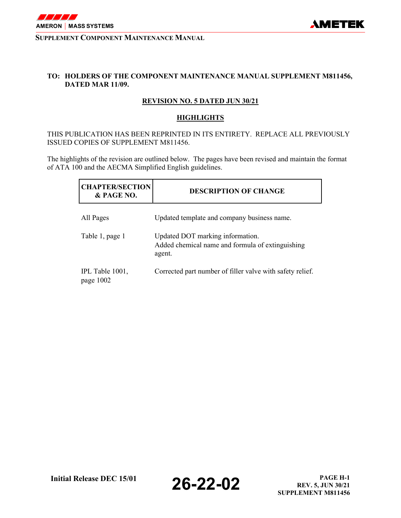

#### **TO: HOLDERS OF THE COMPONENT MAINTENANCE MANUAL SUPPLEMENT M811456, DATED MAR 11/09.**

#### **REVISION NO. 5 DATED JUN 30/21**

#### **HIGHLIGHTS**

THIS PUBLICATION HAS BEEN REPRINTED IN ITS ENTIRETY. REPLACE ALL PREVIOUSLY ISSUED COPIES OF SUPPLEMENT M811456.

The highlights of the revision are outlined below. The pages have been revised and maintain the format of ATA 100 and the AECMA Simplified English guidelines.

| <b>CHAPTER/SECTION</b><br>& PAGE NO. | <b>DESCRIPTION OF CHANGE</b>                                                                   |
|--------------------------------------|------------------------------------------------------------------------------------------------|
| All Pages                            | Updated template and company business name.                                                    |
| Table 1, page 1                      | Updated DOT marking information.<br>Added chemical name and formula of extinguishing<br>agent. |
| IPL Table 1001,<br>page 1002         | Corrected part number of filler valve with safety relief.                                      |

**Initial Release DEC 15/01 26-22-02 PAGE H-1 PAGE H-1 PAGE 15/01 REV. 5, JUN 30/21 SUPPLEMENT M811456**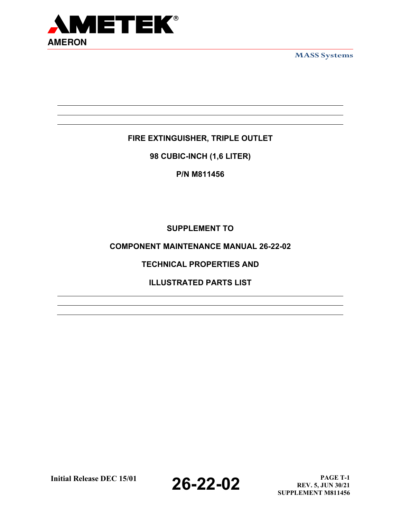

**MASS Systems**

## **FIRE EXTINGUISHER, TRIPLE OUTLET**

**98 CUBIC-INCH (1,6 LITER)**

**P/N M811456**

**SUPPLEMENT TO**

### **COMPONENT MAINTENANCE MANUAL 26-22-02**

### **TECHNICAL PROPERTIES AND**

## **ILLUSTRATED PARTS LIST**

**Initial Release DEC 15/01 26-22-02 PAGE T-1 PAGE T-1 PAGE T-1 REV. 5, JUN 30/21 SUPPLEMENT M811456**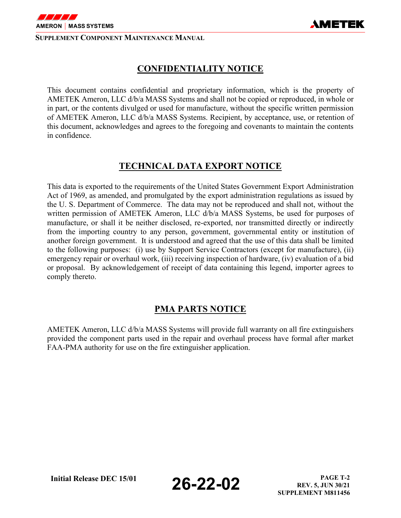

### **CONFIDENTIALITY NOTICE**

This document contains confidential and proprietary information, which is the property of AMETEK Ameron, LLC d/b/a MASS Systems and shall not be copied or reproduced, in whole or in part, or the contents divulged or used for manufacture, without the specific written permission of AMETEK Ameron, LLC d/b/a MASS Systems. Recipient, by acceptance, use, or retention of this document, acknowledges and agrees to the foregoing and covenants to maintain the contents in confidence.

## **TECHNICAL DATA EXPORT NOTICE**

This data is exported to the requirements of the United States Government Export Administration Act of 1969, as amended, and promulgated by the export administration regulations as issued by the U. S. Department of Commerce. The data may not be reproduced and shall not, without the written permission of AMETEK Ameron, LLC d/b/a MASS Systems, be used for purposes of manufacture, or shall it be neither disclosed, re-exported, nor transmitted directly or indirectly from the importing country to any person, government, governmental entity or institution of another foreign government. It is understood and agreed that the use of this data shall be limited to the following purposes: (i) use by Support Service Contractors (except for manufacture), (ii) emergency repair or overhaul work, (iii) receiving inspection of hardware, (iv) evaluation of a bid or proposal. By acknowledgement of receipt of data containing this legend, importer agrees to comply thereto.

## **PMA PARTS NOTICE**

AMETEK Ameron, LLC d/b/a MASS Systems will provide full warranty on all fire extinguishers provided the component parts used in the repair and overhaul process have formal after market FAA-PMA authority for use on the fire extinguisher application.

**Initial Release DEC 15/01 26-22-02 PAGE T-2 PAGE T-2 REV. 5, JUN 30/21 SUPPLEMENT M811456**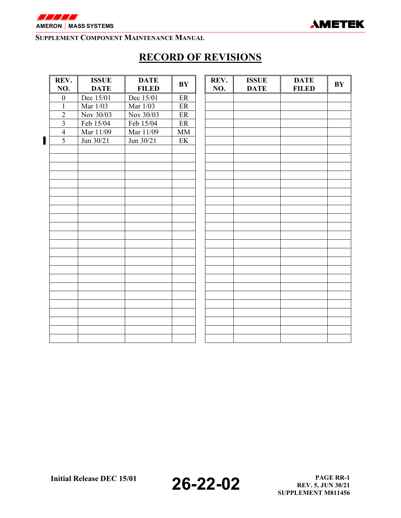

# **RECORD OF REVISIONS**

| REV.                    | <b>ISSUE</b> | <b>DATE</b>  | BY                       | REV. | <b>ISSUE</b> | <b>DATE</b>  |  |
|-------------------------|--------------|--------------|--------------------------|------|--------------|--------------|--|
| NO.                     | <b>DATE</b>  | <b>FILED</b> |                          | NO.  | <b>DATE</b>  | <b>FILED</b> |  |
| $\boldsymbol{0}$        | Dec 15/01    | Dec 15/01    | $\rm ER$                 |      |              |              |  |
| $\mathbf{1}$            | Mar 1/03     | Mar 1/03     | $\rm ER$                 |      |              |              |  |
| $\overline{2}$          | Nov 30/03    | Nov 30/03    | $\rm ER$                 |      |              |              |  |
| $\overline{\mathbf{3}}$ | Feb 15/04    | Feb 15/04    | $\rm ER$                 |      |              |              |  |
| $\overline{4}$          | Mar 11/09    | Mar 11/09    | MM                       |      |              |              |  |
| $\overline{5}$          | Jun 30/21    | Jun 30/21    | $\ensuremath{\text{EK}}$ |      |              |              |  |
|                         |              |              |                          |      |              |              |  |
|                         |              |              |                          |      |              |              |  |
|                         |              |              |                          |      |              |              |  |
|                         |              |              |                          |      |              |              |  |
|                         |              |              |                          |      |              |              |  |
|                         |              |              |                          |      |              |              |  |
|                         |              |              |                          |      |              |              |  |
|                         |              |              |                          |      |              |              |  |
|                         |              |              |                          |      |              |              |  |
|                         |              |              |                          |      |              |              |  |
|                         |              |              |                          |      |              |              |  |
|                         |              |              |                          |      |              |              |  |
|                         |              |              |                          |      |              |              |  |
|                         |              |              |                          |      |              |              |  |
|                         |              |              |                          |      |              |              |  |
|                         |              |              |                          |      |              |              |  |
|                         |              |              |                          |      |              |              |  |
|                         |              |              |                          |      |              |              |  |
|                         |              |              |                          |      |              |              |  |
|                         |              |              |                          |      |              |              |  |
|                         |              |              |                          |      |              |              |  |
|                         |              |              |                          |      |              |              |  |
|                         |              |              |                          |      |              |              |  |

**Initial Release DEC 15/01 26-22-02 PAGE RR-1 PAGE RR-1 PAGE RR-1 REV. 5, JUN 30/21 SUPPLEMENT M811456** 

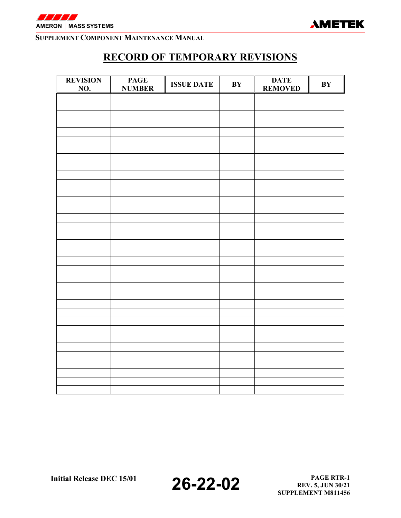



## **RECORD OF TEMPORARY REVISIONS**

| <b>REVISION</b><br><b>NO.</b> | <b>PAGE</b><br><b>NUMBER</b> | <b>ISSUE DATE</b> | BY | <b>DATE</b><br><b>REMOVED</b> | BY |
|-------------------------------|------------------------------|-------------------|----|-------------------------------|----|
|                               |                              |                   |    |                               |    |
|                               |                              |                   |    |                               |    |
|                               |                              |                   |    |                               |    |
|                               |                              |                   |    |                               |    |
|                               |                              |                   |    |                               |    |
|                               |                              |                   |    |                               |    |
|                               |                              |                   |    |                               |    |
|                               |                              |                   |    |                               |    |
|                               |                              |                   |    |                               |    |
|                               |                              |                   |    |                               |    |
|                               |                              |                   |    |                               |    |
|                               |                              |                   |    |                               |    |
|                               |                              |                   |    |                               |    |
|                               |                              |                   |    |                               |    |
|                               |                              |                   |    |                               |    |
|                               |                              |                   |    |                               |    |
|                               |                              |                   |    |                               |    |
|                               |                              |                   |    |                               |    |
|                               |                              |                   |    |                               |    |
|                               |                              |                   |    |                               |    |
|                               |                              |                   |    |                               |    |
|                               |                              |                   |    |                               |    |
|                               |                              |                   |    |                               |    |
|                               |                              |                   |    |                               |    |
|                               |                              |                   |    |                               |    |
|                               |                              |                   |    |                               |    |
|                               |                              |                   |    |                               |    |
|                               |                              |                   |    |                               |    |
|                               |                              |                   |    |                               |    |
|                               |                              |                   |    |                               |    |
|                               |                              |                   |    |                               |    |
|                               |                              |                   |    |                               |    |
|                               |                              |                   |    |                               |    |
|                               |                              |                   |    |                               |    |
|                               |                              |                   |    |                               |    |
|                               |                              |                   |    |                               |    |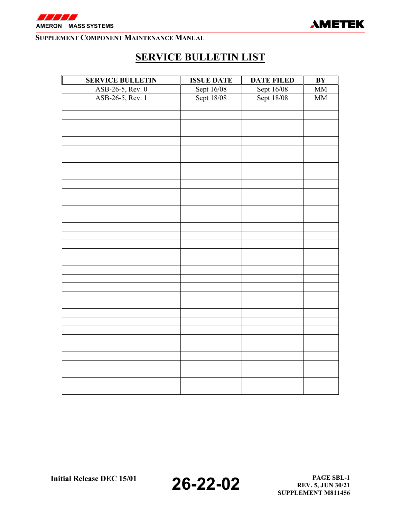

# **SERVICE BULLETIN LIST**

| <b>SERVICE BULLETIN</b> | <b>ISSUE DATE</b> | <b>DATE FILED</b> | BY                     |
|-------------------------|-------------------|-------------------|------------------------|
| ASB-26-5, Rev. 0        | Sept 16/08        | Sept 16/08        | MM                     |
| ASB-26-5, Rev. 1        | Sept 18/08        | Sept 18/08        | $\overline{\text{MM}}$ |
|                         |                   |                   |                        |
|                         |                   |                   |                        |
|                         |                   |                   |                        |
|                         |                   |                   |                        |
|                         |                   |                   |                        |
|                         |                   |                   |                        |
|                         |                   |                   |                        |
|                         |                   |                   |                        |
|                         |                   |                   |                        |
|                         |                   |                   |                        |
|                         |                   |                   |                        |
|                         |                   |                   |                        |
|                         |                   |                   |                        |
|                         |                   |                   |                        |
|                         |                   |                   |                        |
|                         |                   |                   |                        |
|                         |                   |                   |                        |
|                         |                   |                   |                        |
|                         |                   |                   |                        |
|                         |                   |                   |                        |
|                         |                   |                   |                        |
|                         |                   |                   |                        |
|                         |                   |                   |                        |
|                         |                   |                   |                        |
|                         |                   |                   |                        |
|                         |                   |                   |                        |
|                         |                   |                   |                        |
|                         |                   |                   |                        |
|                         |                   |                   |                        |
|                         |                   |                   |                        |
|                         |                   |                   |                        |
|                         |                   |                   |                        |
|                         |                   |                   |                        |
|                         |                   |                   |                        |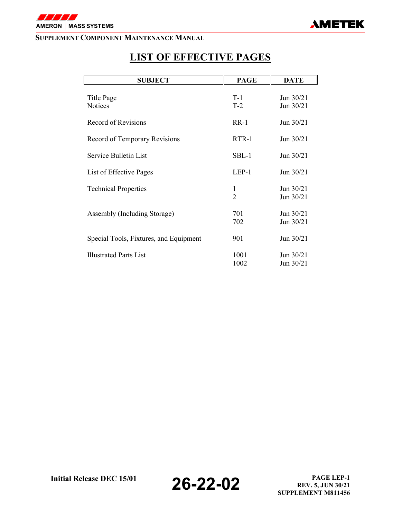

# **LIST OF EFFECTIVE PAGES**

| <b>SUBJECT</b>                         | <b>PAGE</b>         | <b>DATE</b>              |
|----------------------------------------|---------------------|--------------------------|
| Title Page<br><b>Notices</b>           | $T-1$<br>$T-2$      | Jun $30/21$<br>Jun 30/21 |
| Record of Revisions                    | $RR-1$              | Jun 30/21                |
| Record of Temporary Revisions          | RTR-1               | Jun $30/21$              |
| Service Bulletin List                  | $SBL-1$             | Jun $30/21$              |
| List of Effective Pages                | $LEP-1$             | Jun $30/21$              |
| <b>Technical Properties</b>            | 1<br>$\overline{2}$ | Jun $30/21$<br>Jun 30/21 |
| Assembly (Including Storage)           | 701<br>702          | Jun $30/21$<br>Jun 30/21 |
| Special Tools, Fixtures, and Equipment | 901                 | Jun 30/21                |
| <b>Illustrated Parts List</b>          | 1001<br>1002        | Jun $30/21$<br>Jun 30/21 |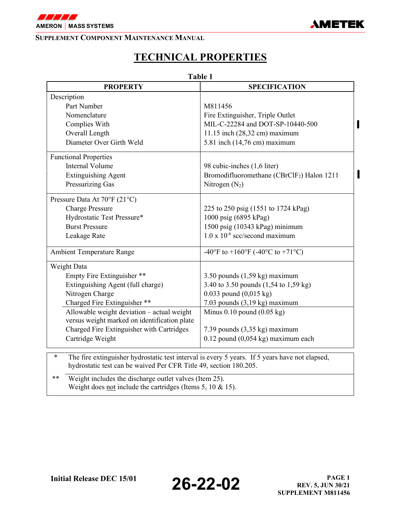

# **TECHNICAL PROPERTIES**

| anı<br>н |  |
|----------|--|
|----------|--|

| M811456<br>Fire Extinguisher, Triple Outlet<br>MIL-C-22284 and DOT-SP-10440-500<br>11.15 inch (28,32 cm) maximum<br>5.81 inch (14,76 cm) maximum<br>98 cubic-inches (1,6 liter)<br>Bromodifluoromethane (CBrClF <sub>2</sub> ) Halon 1211<br>Nitrogen $(N_2)$<br>225 to 250 psig (1551 to 1724 kPag) |
|------------------------------------------------------------------------------------------------------------------------------------------------------------------------------------------------------------------------------------------------------------------------------------------------------|
|                                                                                                                                                                                                                                                                                                      |
|                                                                                                                                                                                                                                                                                                      |
|                                                                                                                                                                                                                                                                                                      |
|                                                                                                                                                                                                                                                                                                      |
|                                                                                                                                                                                                                                                                                                      |
|                                                                                                                                                                                                                                                                                                      |
|                                                                                                                                                                                                                                                                                                      |
|                                                                                                                                                                                                                                                                                                      |
|                                                                                                                                                                                                                                                                                                      |
|                                                                                                                                                                                                                                                                                                      |
|                                                                                                                                                                                                                                                                                                      |
|                                                                                                                                                                                                                                                                                                      |
| 1000 psig (6895 kPag)                                                                                                                                                                                                                                                                                |
| 1500 psig (10343 kPag) minimum                                                                                                                                                                                                                                                                       |
| $1.0 \times 10^{-6}$ scc/second maximum                                                                                                                                                                                                                                                              |
| -40°F to +160°F (-40°C to +71°C)                                                                                                                                                                                                                                                                     |
|                                                                                                                                                                                                                                                                                                      |
| 3.50 pounds $(1,59 \text{ kg})$ maximum                                                                                                                                                                                                                                                              |
| 3.40 to 3.50 pounds (1,54 to 1,59 kg)                                                                                                                                                                                                                                                                |
| $0.033$ pound $(0.015 \text{ kg})$                                                                                                                                                                                                                                                                   |
| 7.03 pounds (3,19 kg) maximum                                                                                                                                                                                                                                                                        |
| Minus $0.10$ pound $(0.05 \text{ kg})$                                                                                                                                                                                                                                                               |
| 7.39 pounds (3,35 kg) maximum                                                                                                                                                                                                                                                                        |
|                                                                                                                                                                                                                                                                                                      |
|                                                                                                                                                                                                                                                                                                      |

hydrostatic test can be waived Per CFR Title 49, section 180.205.

\*\* Weight includes the discharge outlet valves (Item 25). Weight does not include the cartridges (Items 5, 10 & 15).

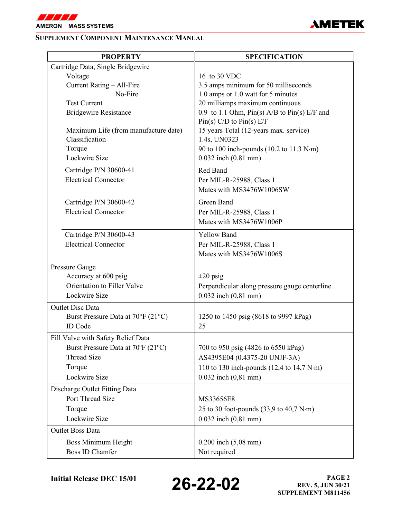



| <b>PROPERTY</b>                      | <b>SPECIFICATION</b>                                                  |
|--------------------------------------|-----------------------------------------------------------------------|
| Cartridge Data, Single Bridgewire    |                                                                       |
| Voltage                              | 16 to 30 VDC                                                          |
| Current Rating - All-Fire            | 3.5 amps minimum for 50 milliseconds                                  |
| No-Fire                              | 1.0 amps or 1.0 watt for 5 minutes                                    |
| <b>Test Current</b>                  | 20 milliamps maximum continuous                                       |
| <b>Bridgewire Resistance</b>         | 0.9 to 1.1 Ohm, $Pin(s)$ A/B to $Pin(s)$ E/F and                      |
|                                      | $Pin(s)$ C/D to $Pin(s)$ E/F                                          |
| Maximum Life (from manufacture date) | 15 years Total (12-years max. service)                                |
| Classification                       | 1.4s, UN0323                                                          |
| Torque                               | 90 to 100 inch-pounds (10.2 to 11.3 N·m)                              |
| Lockwire Size                        | $0.032$ inch $(0.81$ mm)                                              |
| Cartridge P/N 30600-41               | Red Band                                                              |
| <b>Electrical Connector</b>          | Per MIL-R-25988, Class 1                                              |
|                                      | Mates with MS3476W1006SW                                              |
| Cartridge P/N 30600-42               | Green Band                                                            |
| <b>Electrical Connector</b>          | Per MIL-R-25988, Class 1                                              |
|                                      | Mates with MS3476W1006P                                               |
| Cartridge P/N 30600-43               | <b>Yellow Band</b>                                                    |
| <b>Electrical Connector</b>          | Per MIL-R-25988, Class 1                                              |
|                                      | Mates with MS3476W1006S                                               |
|                                      |                                                                       |
| Pressure Gauge                       |                                                                       |
| Accuracy at 600 psig                 | $\pm 20$ psig                                                         |
| Orientation to Filler Valve          | Perpendicular along pressure gauge centerline                         |
| Lockwire Size                        | $0.032$ inch $(0, 81$ mm)                                             |
| <b>Outlet Disc Data</b>              |                                                                       |
| Burst Pressure Data at 70°F (21°C)   | 1250 to 1450 psig (8618 to 9997 kPag)                                 |
| <b>ID</b> Code                       | 25                                                                    |
| Fill Valve with Safety Relief Data   |                                                                       |
| Burst Pressure Data at 70°F (21°C)   | 700 to 950 psig (4826 to 6550 kPag)                                   |
| <b>Thread Size</b>                   | AS4395E04 (0.4375-20 UNJF-3A)                                         |
| Torque                               | 110 to 130 inch-pounds $(12, 4$ to 14,7 N·m)                          |
| Lockwire Size                        | $0.032$ inch $(0, 81$ mm)                                             |
| Discharge Outlet Fitting Data        |                                                                       |
| Port Thread Size                     | MS33656E8                                                             |
| Torque                               | 25 to 30 foot-pounds $(33,9 \text{ to } 40,7 \text{ N}\cdot\text{m})$ |
| Lockwire Size                        | $0.032$ inch $(0, 81$ mm)                                             |
| <b>Outlet Boss Data</b>              |                                                                       |
| Boss Minimum Height                  | $0.200$ inch $(5,08$ mm)                                              |
| <b>Boss ID Chamfer</b>               | Not required                                                          |

**Initial Release DEC 15/01 26-22-02 PAGE 2 REV. 5, JUN 30/21 SUPPLEMENT M811456**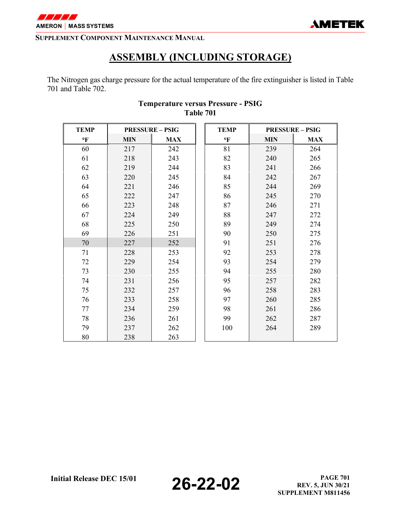

# **ASSEMBLY (INCLUDING STORAGE)**

The Nitrogen gas charge pressure for the actual temperature of the fire extinguisher is listed in Table 701 and Table 702.

| <b>TEMP</b>  |            | <b>PRESSURE - PSIG</b> | <b>TEMP</b>  |            | <b>PRESSURE - PSIG</b> |
|--------------|------------|------------------------|--------------|------------|------------------------|
| $\mathbf{P}$ | <b>MIN</b> | <b>MAX</b>             | $\mathbf{P}$ | <b>MIN</b> | <b>MAX</b>             |
| 60           | 217        | 242                    | 81           | 239        | 264                    |
| 61           | 218        | 243                    | 82           | 240        | 265                    |
| 62           | 219        | 244                    | 83           | 241        | 266                    |
| 63           | 220        | 245                    | 84           | 242        | 267                    |
| 64           | 221        | 246                    | 85           | 244        | 269                    |
| 65           | 222        | 247                    | 86           | 245        | 270                    |
| 66           | 223        | 248                    | 87           | 246        | 271                    |
| 67           | 224        | 249                    | 88           | 247        | 272                    |
| 68           | 225        | 250                    | 89           | 249        | 274                    |
| 69           | 226        | 251                    | 90           | 250        | 275                    |
| 70           | 227        | 252                    | 91           | 251        | 276                    |
| 71           | 228        | 253                    | 92           | 253        | 278                    |
| 72           | 229        | 254                    | 93           | 254        | 279                    |
| 73           | 230        | 255                    | 94           | 255        | 280                    |
| 74           | 231        | 256                    | 95           | 257        | 282                    |
| 75           | 232        | 257                    | 96           | 258        | 283                    |
| 76           | 233        | 258                    | 97           | 260        | 285                    |
| 77           | 234        | 259                    | 98           | 261        | 286                    |
| 78           | 236        | 261                    | 99           | 262        | 287                    |
| 79           | 237        | 262                    | 100          | 264        | 289                    |
| 80           | 238        | 263                    |              |            |                        |

### **Temperature versus Pressure - PSIG Table 701**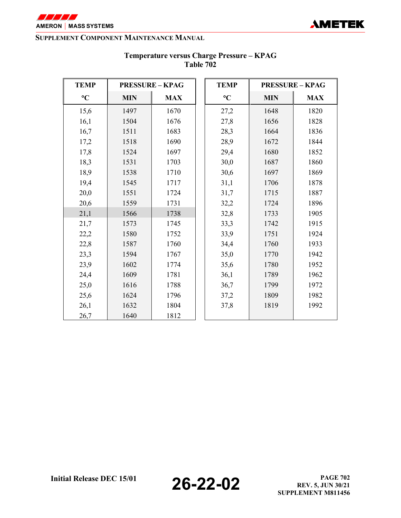



| <b>TEMP</b>     |            | <b>PRESSURE - KPAG</b> | <b>TEMP</b>     |            | <b>PRESSURE - KPAG</b> |
|-----------------|------------|------------------------|-----------------|------------|------------------------|
| $\rm ^{\circ}C$ | <b>MIN</b> | <b>MAX</b>             | $\rm ^{\circ}C$ | <b>MIN</b> | <b>MAX</b>             |
| 15,6            | 1497       | 1670                   | 27,2            | 1648       | 1820                   |
| 16,1            | 1504       | 1676                   | 27,8            | 1656       | 1828                   |
| 16,7            | 1511       | 1683                   | 28,3            | 1664       | 1836                   |
| 17,2            | 1518       | 1690                   | 28,9            | 1672       | 1844                   |
| 17,8            | 1524       | 1697                   | 29,4            | 1680       | 1852                   |
| 18,3            | 1531       | 1703                   | 30,0            | 1687       | 1860                   |
| 18,9            | 1538       | 1710                   | 30,6            | 1697       | 1869                   |
| 19,4            | 1545       | 1717                   | 31,1            | 1706       | 1878                   |
| 20,0            | 1551       | 1724                   | 31,7            | 1715       | 1887                   |
| 20,6            | 1559       | 1731                   | 32,2            | 1724       | 1896                   |
| 21,1            | 1566       | 1738                   | 32,8            | 1733       | 1905                   |
| 21,7            | 1573       | 1745                   | 33,3            | 1742       | 1915                   |
| 22,2            | 1580       | 1752                   | 33,9            | 1751       | 1924                   |
| 22,8            | 1587       | 1760                   | 34,4            | 1760       | 1933                   |
| 23,3            | 1594       | 1767                   | 35,0            | 1770       | 1942                   |
| 23,9            | 1602       | 1774                   | 35,6            | 1780       | 1952                   |
| 24,4            | 1609       | 1781                   | 36,1            | 1789       | 1962                   |
| 25,0            | 1616       | 1788                   | 36,7            | 1799       | 1972                   |
| 25,6            | 1624       | 1796                   | 37,2            | 1809       | 1982                   |
| 26,1            | 1632       | 1804                   | 37,8            | 1819       | 1992                   |
| 26,7            | 1640       | 1812                   |                 |            |                        |

### **Temperature versus Charge Pressure – KPAG Table 702**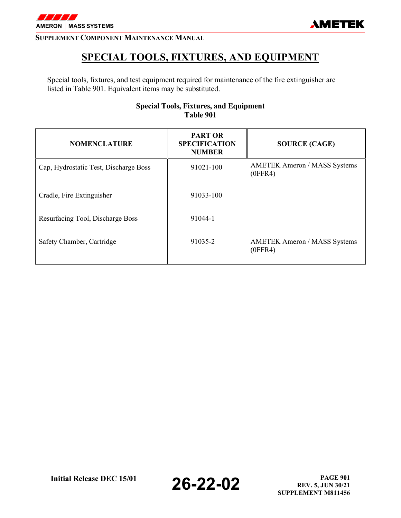

# **SPECIAL TOOLS, FIXTURES, AND EQUIPMENT**

Special tools, fixtures, and test equipment required for maintenance of the fire extinguisher are listed in Table 901. Equivalent items may be substituted.

| <b>NOMENCLATURE</b>                   | <b>PART OR</b><br><b>SPECIFICATION</b><br><b>NUMBER</b> | <b>SOURCE (CAGE)</b>                           |
|---------------------------------------|---------------------------------------------------------|------------------------------------------------|
| Cap, Hydrostatic Test, Discharge Boss | 91021-100                                               | <b>AMETEK Ameron / MASS Systems</b><br>(OFFR4) |
| Cradle, Fire Extinguisher             | 91033-100                                               |                                                |
| Resurfacing Tool, Discharge Boss      | 91044-1                                                 |                                                |
| Safety Chamber, Cartridge             | 91035-2                                                 | <b>AMETEK Ameron / MASS Systems</b><br>(OFFR4) |

### **Special Tools, Fixtures, and Equipment Table 901**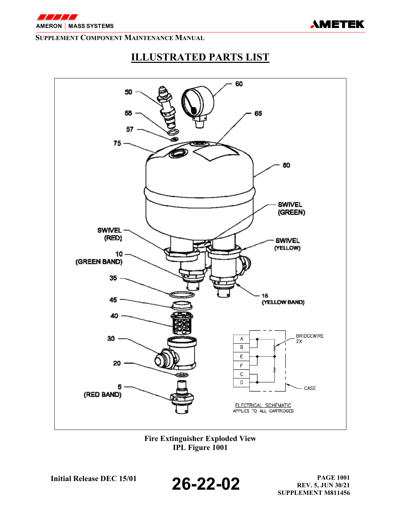

# **ILLUSTRATED PARTS LIST**



**Fire Extinguisher Exploded View IPL Figure 1001** 

**Initial Release DEC 15/01 26-22-02 PAGE 1001 PAGE 1001 PAGE 1001 REV. 5, JUN 30/21 SUPPLEMENT M811456**